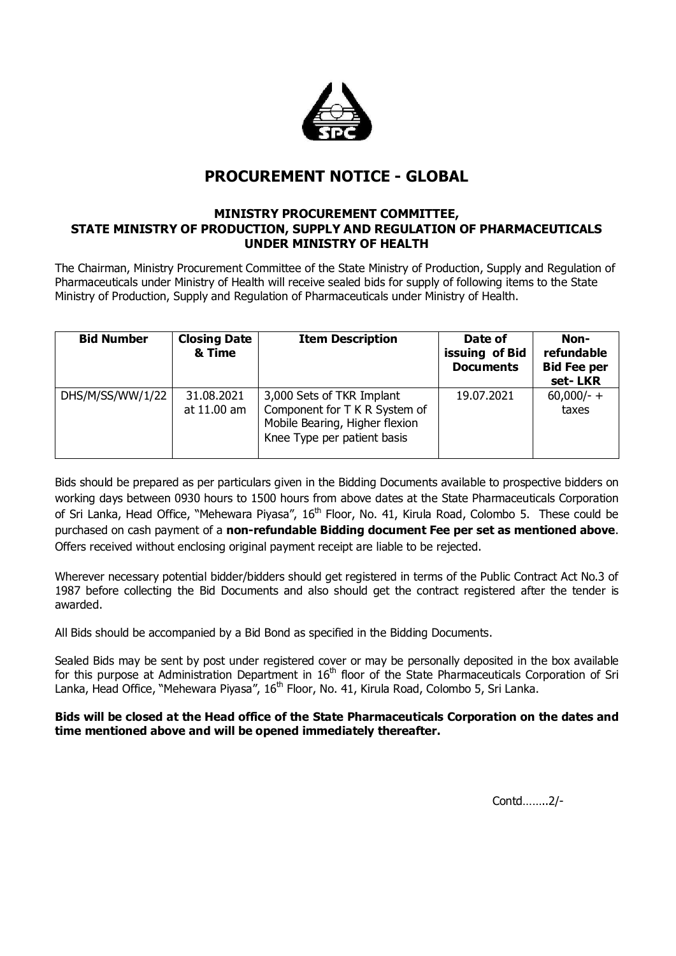

## **PROCUREMENT NOTICE - GLOBAL**

## **MINISTRY PROCUREMENT COMMITTEE, STATE MINISTRY OF PRODUCTION, SUPPLY AND REGULATION OF PHARMACEUTICALS UNDER MINISTRY OF HEALTH**

The Chairman, Ministry Procurement Committee of the State Ministry of Production, Supply and Regulation of Pharmaceuticals under Ministry of Health will receive sealed bids for supply of following items to the State Ministry of Production, Supply and Regulation of Pharmaceuticals under Ministry of Health.

| <b>Bid Number</b> | <b>Closing Date</b><br>& Time | <b>Item Description</b>                                                                                                     | Date of<br>issuing of Bid<br><b>Documents</b> | Non-<br>refundable<br><b>Bid Fee per</b><br>set-LKR |
|-------------------|-------------------------------|-----------------------------------------------------------------------------------------------------------------------------|-----------------------------------------------|-----------------------------------------------------|
| DHS/M/SS/WW/1/22  | 31.08.2021<br>at 11.00 am     | 3,000 Sets of TKR Implant<br>Component for T K R System of<br>Mobile Bearing, Higher flexion<br>Knee Type per patient basis | 19.07.2021                                    | $60,000/- +$<br>taxes                               |

Bids should be prepared as per particulars given in the Bidding Documents available to prospective bidders on working days between 0930 hours to 1500 hours from above dates at the State Pharmaceuticals Corporation of Sri Lanka, Head Office, "Mehewara Piyasa", 16<sup>th</sup> Floor, No. 41, Kirula Road, Colombo 5. These could be purchased on cash payment of a **non-refundable Bidding document Fee per set as mentioned above**. Offers received without enclosing original payment receipt are liable to be rejected.

Wherever necessary potential bidder/bidders should get registered in terms of the Public Contract Act No.3 of 1987 before collecting the Bid Documents and also should get the contract registered after the tender is awarded.

All Bids should be accompanied by a Bid Bond as specified in the Bidding Documents.

Sealed Bids may be sent by post under registered cover or may be personally deposited in the box available for this purpose at Administration Department in 16<sup>th</sup> floor of the State Pharmaceuticals Corporation of Sri Lanka, Head Office, "Mehewara Piyasa", 16th Floor, No. 41, Kirula Road, Colombo 5, Sri Lanka.

## **Bids will be closed at the Head office of the State Pharmaceuticals Corporation on the dates and time mentioned above and will be opened immediately thereafter.**

Contd……..2/-